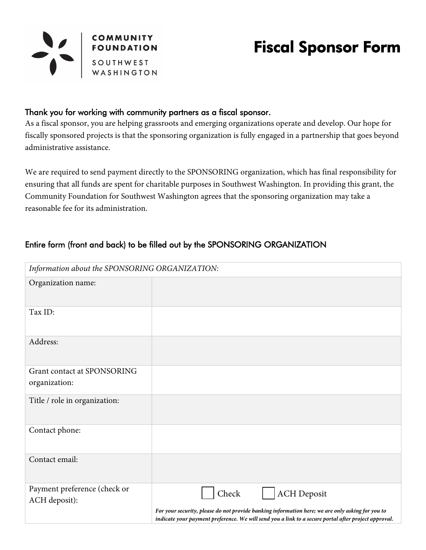

# Fiscal Sponsor Form

#### Thank you for working with community partners as a fiscal sponsor.

As a fiscal sponsor, you are helping grassroots and emerging organizations operate and develop. Our hope for fiscally sponsored projects is that the sponsoring organization is fully engaged in a partnership that goes beyond administrative assistance.

We are required to send payment directly to the SPONSORING organization, which has final responsibility for ensuring that all funds are spent for charitable purposes in Southwest Washington. In providing this grant, the Community Foundation for Southwest Washington agrees that the sponsoring organization may take a reasonable fee for its administration.

# Entire form (front and back) to be filled out by the SPONSORING ORGANIZATION

| Information about the SPONSORING ORGANIZATION: |                                                                                                                                                                                                                                         |  |
|------------------------------------------------|-----------------------------------------------------------------------------------------------------------------------------------------------------------------------------------------------------------------------------------------|--|
| Organization name:                             |                                                                                                                                                                                                                                         |  |
| Tax ID:                                        |                                                                                                                                                                                                                                         |  |
| Address:                                       |                                                                                                                                                                                                                                         |  |
| Grant contact at SPONSORING<br>organization:   |                                                                                                                                                                                                                                         |  |
| Title / role in organization:                  |                                                                                                                                                                                                                                         |  |
| Contact phone:                                 |                                                                                                                                                                                                                                         |  |
| Contact email:                                 |                                                                                                                                                                                                                                         |  |
| Payment preference (check or<br>ACH deposit):  | Check<br><b>ACH Deposit</b><br>For your security, please do not provide banking information here; we are only asking for you to<br>indicate your payment preference. We will send you a link to a secure portal after project approval. |  |